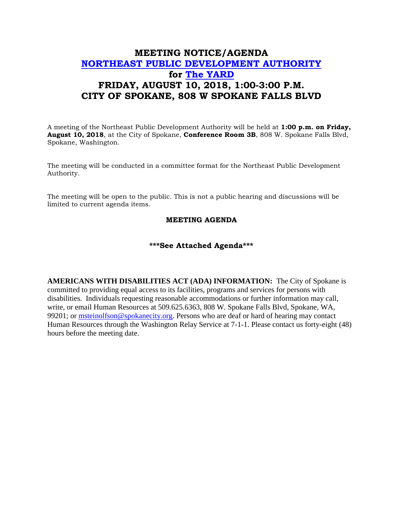## **MEETING NOTICE/AGENDA [NORTHEAST PUBLIC DEVELOPMENT AUTHORITY](https://beta.spokanecity.org/bcc/boards/northeast-public-development-authority/) for [The YARD](https://beta.spokanecity.org/projects/theyard/) FRIDAY, AUGUST 10, 2018, 1:00-3:00 P.M. CITY OF SPOKANE, 808 W SPOKANE FALLS BLVD**

A meeting of the Northeast Public Development Authority will be held at **1:00 p.m. on Friday, August 10, 2018**, at the City of Spokane, **Conference Room 3B**, 808 W. Spokane Falls Blvd, Spokane, Washington.

The meeting will be conducted in a committee format for the Northeast Public Development Authority.

The meeting will be open to the public. This is not a public hearing and discussions will be limited to current agenda items.

## **MEETING AGENDA**

## **\*\*\*See Attached Agenda\*\*\***

**AMERICANS WITH DISABILITIES ACT (ADA) INFORMATION:** The City of Spokane is committed to providing equal access to its facilities, programs and services for persons with disabilities. Individuals requesting reasonable accommodations or further information may call, write, or email Human Resources at 509.625.6363, 808 W. Spokane Falls Blvd, Spokane, WA, 99201; or [msteinolfson@spokanecity.org.](mailto:msteinolfson@spokanecity.org) Persons who are deaf or hard of hearing may contact Human Resources through the Washington Relay Service at 7-1-1. Please contact us forty-eight (48) hours before the meeting date.